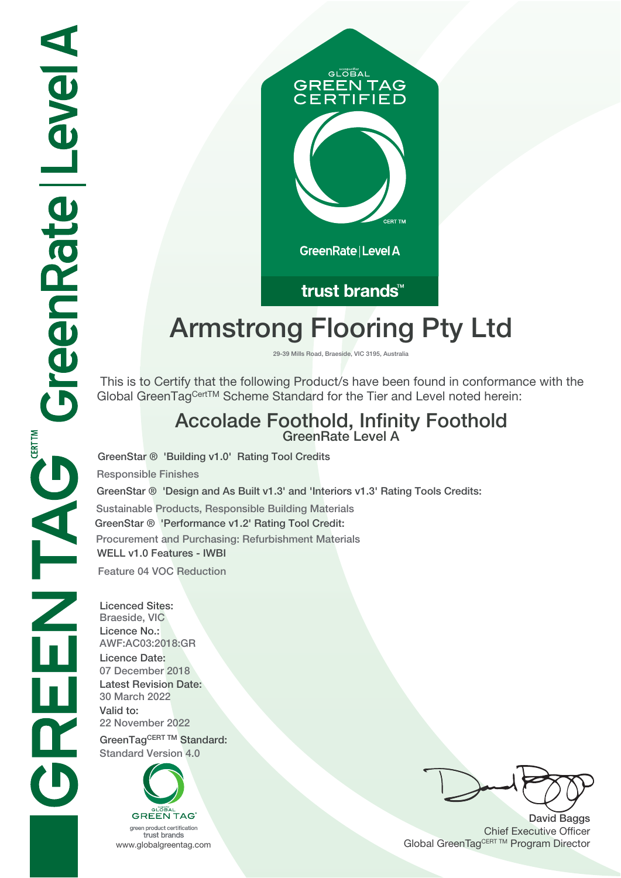

## trust brands<sup>™</sup>

# **Armstrong Flooring Pty Ltd**

**29-39 Mills Road, Braeside, VIC 3195, Australia**

 This is to Certify that the following Product/s have been found in conformance with the Global GreenTagCertTM Scheme Standard for the Tier and Level noted herein:

# **Accolade Foothold, Infinity Foothold GreenRate Level A**

**GreenStar ® 'Building v1.0' Rating Tool Credits**

**Responsible Finishes**

**GreenStar ® 'Design and As Built v1.3' and 'Interiors v1.3' Rating Tools Credits:**

**Sustainable Products, Responsible Building Materials**

**GreenStar ® 'Performance v1.2' Rating Tool Credit: Procurement and Purchasing: Refurbishment Materials WELL v1.0 Features - IWBI Feature 04 VOC Reduction**

**Licenced Sites: Braeside, VIC Licence No.: AWF:AC03:2018:GR Licence Date: 07 December 2018 Latest Revision Date: 30 March 2022 Valid to: 22 November 2022 GreenTagCERT TM Standard:**

**Standard Version 4.0**



trust brands

**David Baggs** Chief Executive Officer WWW.globalgreentag.com **Program Director** Clobal GreenTagCERT TM Program Director